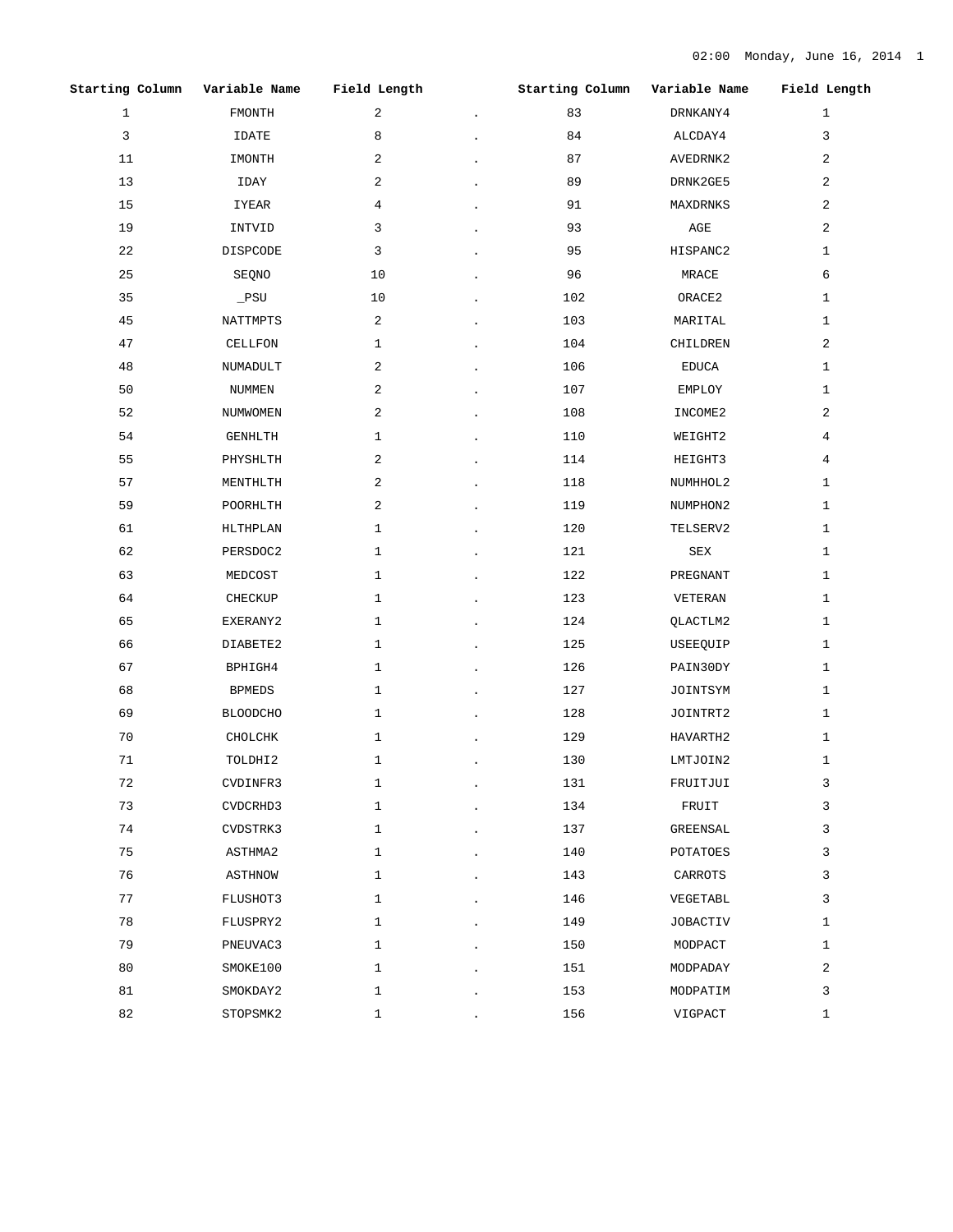|              | Starting Column Variable Name Field Length |                | Starting Column | Variable Name Field Length |              |
|--------------|--------------------------------------------|----------------|-----------------|----------------------------|--------------|
| $\mathbf{1}$ | FMONTH                                     | $\overline{a}$ | 83              | DRNKANY4                   | $\mathbf{1}$ |
| 3            | IDATE                                      | 8              | 84              | ALCDAY4                    | 3            |
| 11           | IMONTH                                     | 2              | 87              | AVEDRNK2                   | 2            |
| 13           | IDAY                                       | 2              | 89              | DRNK2GE5                   | 2            |
| 15           | IYEAR                                      | 4              | 91              | MAXDRNKS                   | 2            |
| 19           | INTVID                                     | 3              | 93              | AGE                        | 2            |
| 22           | DISPCODE                                   | 3              | 95              | HISPANC2                   | $\mathbf{1}$ |
| 25           | SEQNO                                      | 10             | 96              | MRACE                      | 6            |
| 35           | $_PSU$                                     | 10             | 102             | ORACE2                     | $\mathbf{1}$ |
| 45           | NATTMPTS                                   | $\overline{a}$ | 103             | MARITAL                    | $\mathbf{1}$ |
| 47           | CELLFON                                    | 1              | 104             | CHILDREN                   | 2            |
| 48           | NUMADULT                                   | 2              | 106             | EDUCA                      | $\mathbf{1}$ |
| 50           | NUMMEN                                     | 2              | 107             | EMPLOY                     | 1            |
| 52           | NUMWOMEN                                   | 2              | 108             | INCOME2                    | 2            |
| 54           | GENHLTH                                    | $\mathbf{1}$   | 110             | WEIGHT2                    | 4            |
| 55           | PHYSHLTH                                   | 2              | 114             | HEIGHT3                    | 4            |
| 57           | MENTHLTH                                   | 2              | 118             | NUMHHOL2                   | 1            |
| 59           | POORHLTH                                   | 2              | 119             | NUMPHON2                   | $\mathbf{1}$ |
| 61           | HLTHPLAN                                   | $\mathbf{1}$   | 120             | TELSERV2                   | $\mathbf{1}$ |
| 62           | PERSDOC2                                   | 1              | 121             | SEX                        | $\mathbf{1}$ |
| 63           | MEDCOST                                    | $\mathbf{1}$   | 122             | PREGNANT                   | $\mathbf{1}$ |
| 64           | CHECKUP                                    | 1              | 123             | VETERAN                    | $\mathbf{1}$ |
| 65           | EXERANY2                                   | $\mathbf{1}$   | 124             | QLACTLM2                   | 1            |
| 66           | DIABETE2                                   | $\mathbf{1}$   | 125             | USEEQUIP                   | $\mathbf{1}$ |
| 67           | BPHIGH4                                    | $\mathbf{1}$   | 126             | PAIN30DY                   | $\mathbf{1}$ |
| 68           | BPMEDS                                     | $\mathbf{1}$   | 127             | JOINTSYM                   | $\mathbf{1}$ |
| 69           | <b>BLOODCHO</b>                            | $\mathbf{1}$   | 128             | JOINTRT2                   | 1            |
| 70           | CHOLCHK                                    | 1              | 129             | HAVARTH2                   | 1            |
| 71           | TOLDHI2                                    | $\mathbf{1}$   | 130             | LMTJOIN2                   | $\mathbf{1}$ |
| 72           | CVDINFR3                                   | $\mathbf{1}$   | 131             | FRUITJUI                   | 3            |
| 73           | CVDCRHD3                                   | $\mathbf{1}$   | 134             | FRUIT                      | 3            |
| 74           | CVDSTRK3                                   | $\mathbf{1}$   | 137             | GREENSAL                   | 3            |
| 75           | ASTHMA2                                    | $\mathbf{1}$   | 140             | POTATOES                   | 3            |
| 76           | <b>ASTHNOW</b>                             | $\mathbf{1}$   | 143             | CARROTS                    | 3            |
| 77           | FLUSHOT3                                   | $\mathbf{1}$   | 146             | VEGETABL                   | 3            |
| 78           | FLUSPRY2                                   | $\mathbf{1}$   | 149             | <b>JOBACTIV</b>            | 1            |
| 79           | PNEUVAC3                                   | $\mathbf{1}$   | 150             | MODPACT                    | $\mathbf{1}$ |
| 80           | SMOKE100                                   | $\mathbf{1}$   | 151             | MODPADAY                   | 2            |
| 81           | SMOKDAY2                                   | $\mathbf{1}$   | 153             | MODPATIM                   | 3            |
| 82           | STOPSMK2                                   | 1              | 156             | VIGPACT                    | 1            |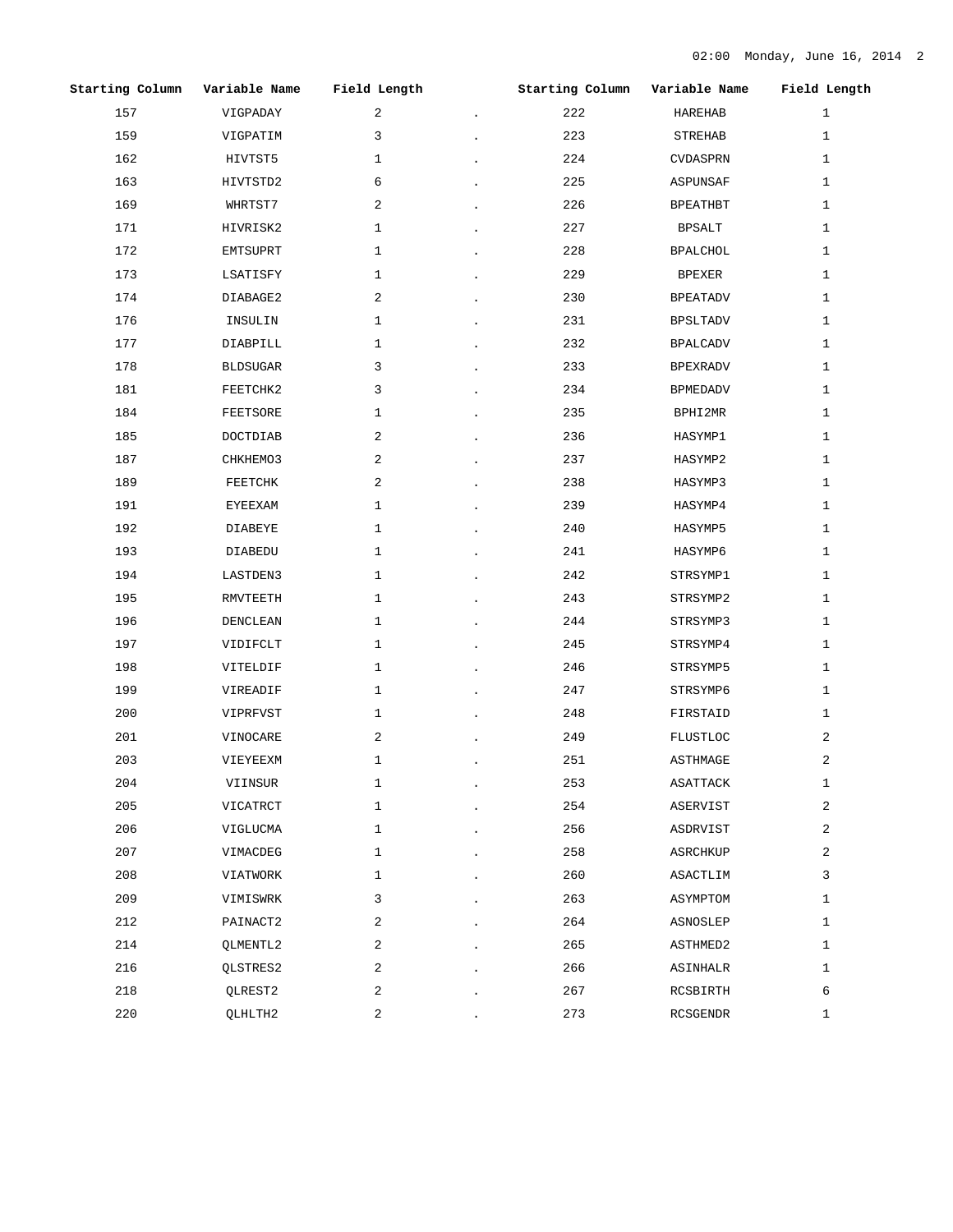|     | Starting Column Variable Name | Field Length   |                                                                 | Starting Column Variable Name |          | Field Length |
|-----|-------------------------------|----------------|-----------------------------------------------------------------|-------------------------------|----------|--------------|
| 157 | VIGPADAY                      | $\overline{a}$ | $\bullet$ .<br><br><br><br><br><br><br><br><br><br><br><br><br> | 222                           | HAREHAB  | $\mathbf{1}$ |
| 159 | VIGPATIM                      | 3              |                                                                 | 223                           | STREHAB  | $\mathbf{1}$ |
| 162 | HIVTST5                       | $\mathbf{1}$   |                                                                 | 224                           | CVDASPRN | $\mathbf{1}$ |
| 163 | HIVTSTD2                      | 6              |                                                                 | 225                           | ASPUNSAF | $\mathbf{1}$ |
| 169 | WHRTST7                       | 2              |                                                                 | 226                           | BPEATHBT | 1            |
| 171 | HIVRISK2                      | 1              |                                                                 | 227                           | BPSALT   | $\mathbf{1}$ |
| 172 | EMTSUPRT                      | $\mathbf{1}$   |                                                                 | 228                           | BPALCHOL | 1            |
| 173 | LSATISFY                      | 1              |                                                                 | 229                           | BPEXER   | 1            |
| 174 | DIABAGE2                      | 2              |                                                                 | 230                           | BPEATADV | 1            |
| 176 | INSULIN                       | $\mathbf{1}$   |                                                                 | 231                           | BPSLTADV | $\mathbf{1}$ |
| 177 | DIABPILL                      | 1              |                                                                 | 232                           | BPALCADV | 1            |
| 178 | BLDSUGAR                      | 3              |                                                                 | 233                           | BPEXRADV | $\mathbf{1}$ |
| 181 | FEETCHK2                      | 3              |                                                                 | 234                           | BPMEDADV | 1            |
| 184 | FEETSORE                      | $\mathbf{1}$   |                                                                 | 235                           | BPHI2MR  | 1            |
| 185 | DOCTDIAB                      | 2              |                                                                 | 236                           | HASYMP1  | 1            |
| 187 | CHKHEMO3                      | 2              |                                                                 | 237                           | HASYMP2  | $\mathbf{1}$ |
| 189 | FEETCHK                       | 2              |                                                                 | 238                           | HASYMP3  | 1            |
| 191 | EYEEXAM                       | $\mathbf{1}$   |                                                                 | 239                           | HASYMP4  | 1            |
| 192 | DIABEYE                       | $\mathbf{1}$   |                                                                 | 240                           | HASYMP5  | 1            |
| 193 | DIABEDU                       | 1              |                                                                 | 241                           | HASYMP6  | $\mathbf{1}$ |
| 194 | LASTDEN3                      | $\mathbf{1}$   |                                                                 | 242                           | STRSYMP1 | 1            |
| 195 | RMVTEETH                      | 1              |                                                                 | 243                           | STRSYMP2 | $\mathbf{1}$ |
| 196 | DENCLEAN                      | $\mathbf{1}$   |                                                                 | 244                           | STRSYMP3 | $\mathbf{1}$ |
| 197 | VIDIFCLT                      | 1              |                                                                 | 245                           | STRSYMP4 | $\mathbf{1}$ |
| 198 | VITELDIF                      | $\mathbf{1}$   |                                                                 | 246                           | STRSYMP5 | $\mathbf{1}$ |
| 199 | VIREADIF                      | 1              |                                                                 | 247                           | STRSYMP6 | $\mathbf{1}$ |
| 200 | VIPRFVST                      | 1              |                                                                 | 248                           | FIRSTAID | $\mathbf{1}$ |
| 201 | VINOCARE                      | 2              |                                                                 | 249                           | FLUSTLOC | 2            |
| 203 | VIEYEEXM                      | $\mathbf{1}$   |                                                                 | 251                           | ASTHMAGE | 2            |
| 204 | VIINSUR                       | 1              |                                                                 | 253                           | ASATTACK | 1            |
| 205 | VICATRCT                      | 1              |                                                                 | 254                           | ASERVIST | 2            |
| 206 | VIGLUCMA                      | $\mathbf{1}$   |                                                                 | 256                           | ASDRVIST | 2            |
| 207 | VIMACDEG                      | $\mathbf{1}$   |                                                                 | 258                           | ASRCHKUP | 2            |
| 208 | VIATWORK                      | $\mathbf{1}$   |                                                                 | 260                           | ASACTLIM | 3            |
| 209 | VIMISWRK                      | 3              |                                                                 | 263                           | ASYMPTOM | $\mathbf{1}$ |
| 212 | PAINACT2                      | 2              |                                                                 | 264                           | ASNOSLEP | $\mathbf{1}$ |
| 214 | QLMENTL2                      | 2              |                                                                 | 265                           | ASTHMED2 | $\mathbf{1}$ |
| 216 | QLSTRES2                      | 2              |                                                                 | 266                           | ASINHALR | $\mathbf{1}$ |
| 218 | QLREST2                       | 2              |                                                                 | 267                           | RCSBIRTH | 6            |
| 220 | QLHLTH2                       | 2              |                                                                 | 273                           | RCSGENDR | 1            |
|     |                               |                |                                                                 |                               |          |              |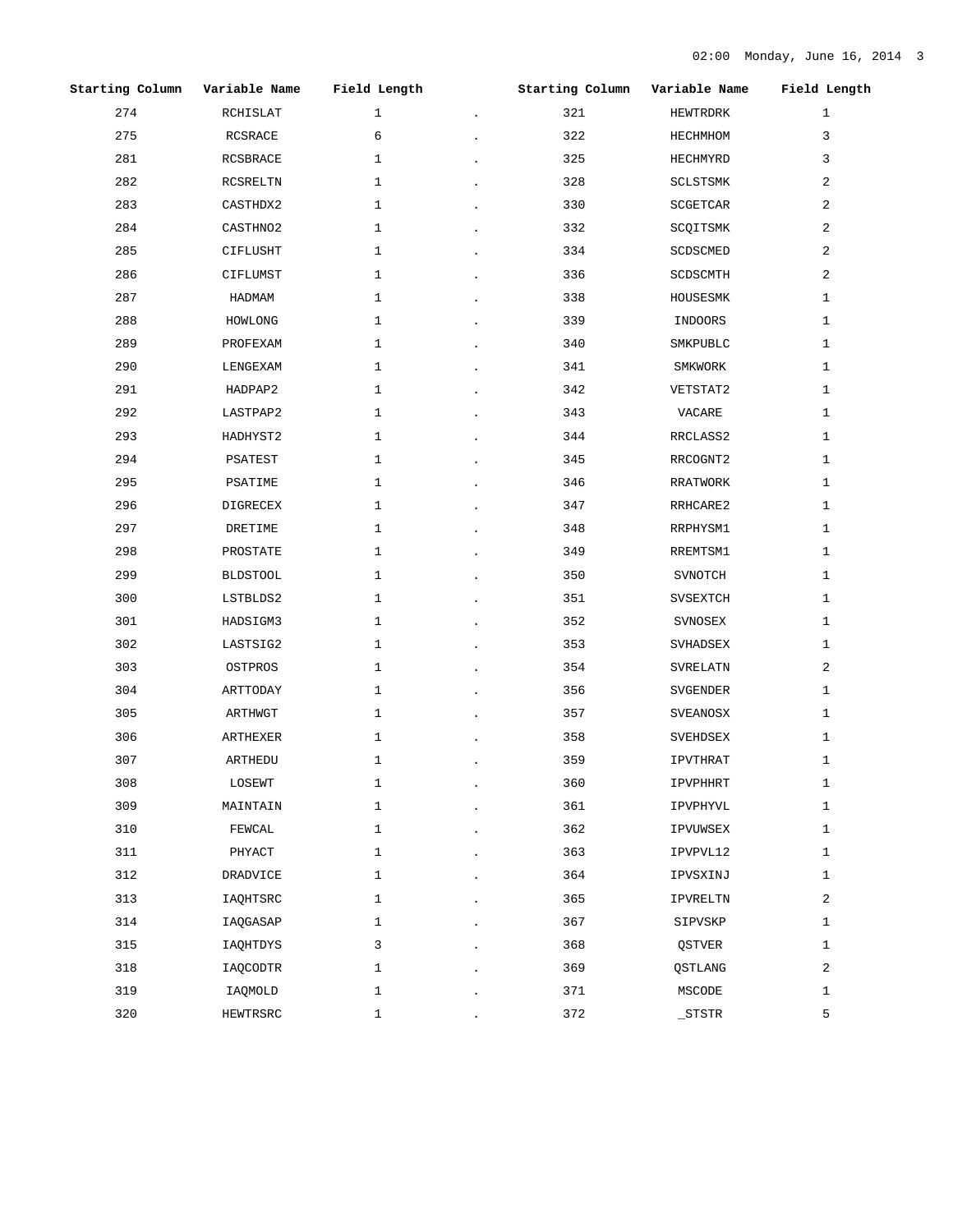|     | Starting Column Variable Name Field Length |              | Starting Column Variable Name Field Length |                |                |
|-----|--------------------------------------------|--------------|--------------------------------------------|----------------|----------------|
| 274 | RCHISLAT                                   | $\mathbf{1}$ | 321                                        | HEWTRDRK       | $\mathbf{1}$   |
| 275 | RCSRACE                                    | 6            | 322                                        | HECHMHOM       | 3              |
| 281 | RCSBRACE                                   | $\mathbf{1}$ | 325                                        | HECHMYRD       | 3              |
| 282 | RCSRELTN                                   | $\mathbf{1}$ | 328                                        | SCLSTSMK       | 2              |
| 283 | CASTHDX2                                   | 1            | 330                                        | SCGETCAR       | 2              |
| 284 | CASTHN02                                   | 1            | 332                                        | SCQITSMK       | 2              |
| 285 | CIFLUSHT                                   | $\mathbf{1}$ | 334                                        | SCDSCMED       | 2              |
| 286 | CIFLUMST                                   | 1            | 336                                        | SCDSCMTH       | 2              |
| 287 | HADMAM                                     | 1            | 338                                        | HOUSESMK       | 1              |
| 288 | HOWLONG                                    | 1            | 339                                        | INDOORS        | $\mathbf{1}$   |
| 289 | PROFEXAM                                   | $\mathbf{1}$ | 340                                        | SMKPUBLC       | $\mathbf{1}$   |
| 290 | LENGEXAM                                   | 1            | 341                                        | SMKWORK        | 1              |
| 291 | HADPAP2                                    | 1            | 342                                        | VETSTAT2       | 1              |
| 292 | LASTPAP2                                   | 1            | 343                                        | VACARE         | 1              |
| 293 | HADHYST2                                   | 1            | 344                                        | RRCLASS2       | $\mathbf{1}$   |
| 294 | PSATEST                                    | 1            | 345                                        | RRCOGNT2       | $\mathbf{1}$   |
| 295 | PSATIME                                    | 1            | 346                                        | RRATWORK       | 1              |
| 296 | DIGRECEX                                   | 1            | 347                                        | RRHCARE2       | $\mathbf{1}$   |
| 297 | DRETIME                                    | $\mathbf{1}$ | 348                                        | RRPHYSM1       | $\mathbf{1}$   |
| 298 | PROSTATE                                   | $\mathbf{1}$ | 349                                        | RREMTSM1       | 1              |
| 299 | <b>BLDSTOOL</b>                            | 1            | 350                                        | SVNOTCH        | 1              |
| 300 | LSTBLDS2                                   | 1            | 351                                        | SVSEXTCH       | 1              |
| 301 | HADSIGM3                                   | $\mathbf{1}$ | 352                                        | SVNOSEX        | 1              |
| 302 | LASTSIG2                                   | $\mathbf{1}$ | 353                                        | SVHADSEX       | $\mathbf{1}$   |
| 303 | OSTPROS                                    | $\mathbf{1}$ | 354                                        | SVRELATN       | $\overline{a}$ |
| 304 | ARTTODAY                                   | $\mathbf{1}$ | 356                                        | SVGENDER       | $\mathbf{1}$   |
| 305 | ARTHWGT                                    | $\mathbf{1}$ | 357                                        | SVEANOSX       | $\mathbf{1}$   |
| 306 | ARTHEXER                                   | 1            | 358                                        | SVEHDSEX       | 1              |
| 307 | ARTHEDU                                    | $\mathbf 1$  | 359                                        | IPVTHRAT       | $\mathbf{1}$   |
| 308 | LOSEWT                                     | 1            | 360                                        | IPVPHHRT       | 1              |
| 309 | MAINTAIN                                   | $\mathbf{1}$ | 361                                        | IPVPHYVL       | $\mathbf{1}$   |
| 310 | FEWCAL                                     | $\mathbf{1}$ | 362                                        | IPVUWSEX       | $\mathbf{1}$   |
| 311 | PHYACT                                     | $\mathbf{1}$ | 363                                        | IPVPVL12       | $\mathbf{1}$   |
| 312 | <b>DRADVICE</b>                            | $\mathbf{1}$ | 364                                        | IPVSXINJ       | $\mathbf{1}$   |
| 313 | IAQHTSRC                                   | $\mathbf{1}$ | 365                                        | IPVRELTN       | 2              |
| 314 | IAQGASAP                                   | $\mathbf{1}$ | 367                                        | SIPVSKP        | $\mathbf{1}$   |
| 315 | IAQHTDYS                                   | 3            | 368                                        | QSTVER         | $\mathbf{1}$   |
| 318 | IAQCODTR                                   | 1            | 369                                        | <b>QSTLANG</b> | 2              |
| 319 | IAQMOLD                                    | $\mathbf{1}$ | 371                                        | MSCODE         | $\mathbf{1}$   |
| 320 | HEWTRSRC                                   | $\mathbf{1}$ | 372                                        | $\_STSTR$      | 5              |
|     |                                            |              |                                            |                |                |